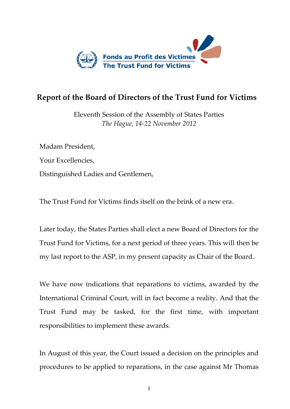

## **Report of the Board of Directors of the Trust Fund for Victims**

Eleventh Session of the Assembly of States Parties *The Hague, 14-22 November 2012*

Madam President, Your Excellencies, Distinguished Ladies and Gentlemen,

The Trust Fund for Victims finds itself on the brink of a new era.

Later today, the States Parties shall elect a new Board of Directors for the Trust Fund for Victims, for a next period of three years. This will then be my last report to the ASP, in my present capacity as Chair of the Board.

We have now indications that reparations to victims, awarded by the International Criminal Court, will in fact become a reality. And that the Trust Fund may be tasked, for the first time, with important responsibilities to implement these awards.

In August of this year, the Court issued a decision on the principles and procedures to be applied to reparations, in the case against Mr Thomas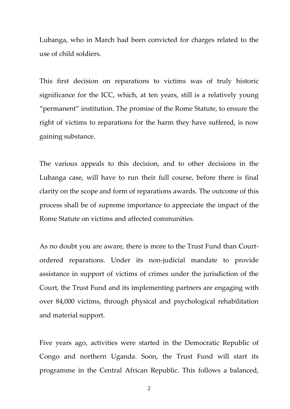Lubanga, who in March had been convicted for charges related to the use of child soldiers.

This first decision on reparations to victims was of truly historic significance for the ICC, which, at ten years, still is a relatively young "permanent" institution. The promise of the Rome Statute, to ensure the right of victims to reparations for the harm they have suffered, is now gaining substance.

The various appeals to this decision, and to other decisions in the Lubanga case, will have to run their full course, before there is final clarity on the scope and form of reparations awards. The outcome of this process shall be of supreme importance to appreciate the impact of the Rome Statute on victims and affected communities.

As no doubt you are aware, there is more to the Trust Fund than Courtordered reparations. Under its non-judicial mandate to provide assistance in support of victims of crimes under the jurisdiction of the Court, the Trust Fund and its implementing partners are engaging with over 84,000 victims, through physical and psychological rehabilitation and material support.

Five years ago, activities were started in the Democratic Republic of Congo and northern Uganda. Soon, the Trust Fund will start its programme in the Central African Republic. This follows a balanced,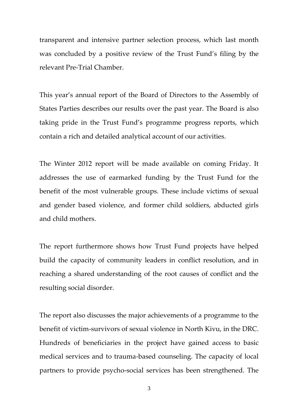transparent and intensive partner selection process, which last month was concluded by a positive review of the Trust Fund's filing by the relevant Pre-Trial Chamber.

This year's annual report of the Board of Directors to the Assembly of States Parties describes our results over the past year. The Board is also taking pride in the Trust Fund's programme progress reports, which contain a rich and detailed analytical account of our activities.

The Winter 2012 report will be made available on coming Friday. It addresses the use of earmarked funding by the Trust Fund for the benefit of the most vulnerable groups. These include victims of sexual and gender based violence, and former child soldiers, abducted girls and child mothers.

The report furthermore shows how Trust Fund projects have helped build the capacity of community leaders in conflict resolution, and in reaching a shared understanding of the root causes of conflict and the resulting social disorder.

The report also discusses the major achievements of a programme to the benefit of victim-survivors of sexual violence in North Kivu, in the DRC. Hundreds of beneficiaries in the project have gained access to basic medical services and to trauma-based counseling. The capacity of local partners to provide psycho-social services has been strengthened. The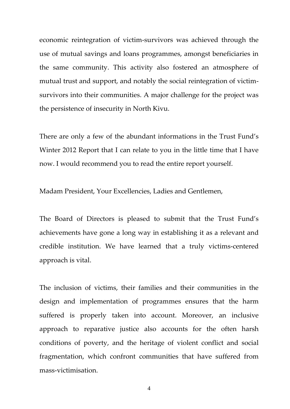economic reintegration of victim-survivors was achieved through the use of mutual savings and loans programmes, amongst beneficiaries in the same community. This activity also fostered an atmosphere of mutual trust and support, and notably the social reintegration of victimsurvivors into their communities. A major challenge for the project was the persistence of insecurity in North Kivu.

There are only a few of the abundant informations in the Trust Fund's Winter 2012 Report that I can relate to you in the little time that I have now. I would recommend you to read the entire report yourself.

Madam President, Your Excellencies, Ladies and Gentlemen,

The Board of Directors is pleased to submit that the Trust Fund's achievements have gone a long way in establishing it as a relevant and credible institution. We have learned that a truly victims-centered approach is vital.

The inclusion of victims, their families and their communities in the design and implementation of programmes ensures that the harm suffered is properly taken into account. Moreover, an inclusive approach to reparative justice also accounts for the often harsh conditions of poverty, and the heritage of violent conflict and social fragmentation, which confront communities that have suffered from mass-victimisation.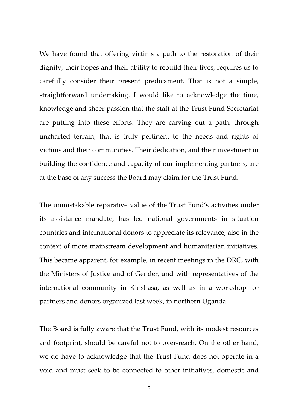We have found that offering victims a path to the restoration of their dignity, their hopes and their ability to rebuild their lives, requires us to carefully consider their present predicament. That is not a simple, straightforward undertaking. I would like to acknowledge the time, knowledge and sheer passion that the staff at the Trust Fund Secretariat are putting into these efforts. They are carving out a path, through uncharted terrain, that is truly pertinent to the needs and rights of victims and their communities. Their dedication, and their investment in building the confidence and capacity of our implementing partners, are at the base of any success the Board may claim for the Trust Fund.

The unmistakable reparative value of the Trust Fund's activities under its assistance mandate, has led national governments in situation countries and international donors to appreciate its relevance, also in the context of more mainstream development and humanitarian initiatives. This became apparent, for example, in recent meetings in the DRC, with the Ministers of Justice and of Gender, and with representatives of the international community in Kinshasa, as well as in a workshop for partners and donors organized last week, in northern Uganda.

The Board is fully aware that the Trust Fund, with its modest resources and footprint, should be careful not to over-reach. On the other hand, we do have to acknowledge that the Trust Fund does not operate in a void and must seek to be connected to other initiatives, domestic and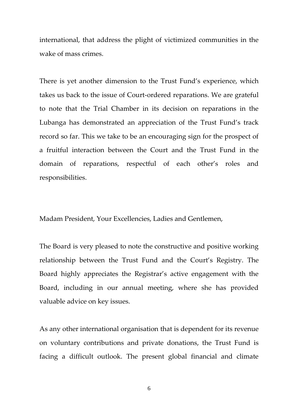international, that address the plight of victimized communities in the wake of mass crimes.

There is yet another dimension to the Trust Fund's experience, which takes us back to the issue of Court-ordered reparations. We are grateful to note that the Trial Chamber in its decision on reparations in the Lubanga has demonstrated an appreciation of the Trust Fund's track record so far. This we take to be an encouraging sign for the prospect of a fruitful interaction between the Court and the Trust Fund in the domain of reparations, respectful of each other's roles and responsibilities.

Madam President, Your Excellencies, Ladies and Gentlemen,

The Board is very pleased to note the constructive and positive working relationship between the Trust Fund and the Court's Registry. The Board highly appreciates the Registrar's active engagement with the Board, including in our annual meeting, where she has provided valuable advice on key issues.

As any other international organisation that is dependent for its revenue on voluntary contributions and private donations, the Trust Fund is facing a difficult outlook. The present global financial and climate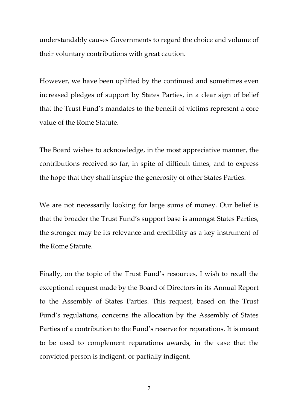understandably causes Governments to regard the choice and volume of their voluntary contributions with great caution.

However, we have been uplifted by the continued and sometimes even increased pledges of support by States Parties, in a clear sign of belief that the Trust Fund's mandates to the benefit of victims represent a core value of the Rome Statute.

The Board wishes to acknowledge, in the most appreciative manner, the contributions received so far, in spite of difficult times, and to express the hope that they shall inspire the generosity of other States Parties.

We are not necessarily looking for large sums of money. Our belief is that the broader the Trust Fund's support base is amongst States Parties, the stronger may be its relevance and credibility as a key instrument of the Rome Statute.

Finally, on the topic of the Trust Fund's resources, I wish to recall the exceptional request made by the Board of Directors in its Annual Report to the Assembly of States Parties. This request, based on the Trust Fund's regulations, concerns the allocation by the Assembly of States Parties of a contribution to the Fund's reserve for reparations. It is meant to be used to complement reparations awards, in the case that the convicted person is indigent, or partially indigent.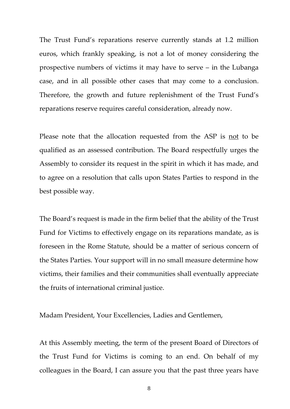The Trust Fund's reparations reserve currently stands at 1.2 million euros, which frankly speaking, is not a lot of money considering the prospective numbers of victims it may have to serve – in the Lubanga case, and in all possible other cases that may come to a conclusion. Therefore, the growth and future replenishment of the Trust Fund's reparations reserve requires careful consideration, already now.

Please note that the allocation requested from the ASP is not to be qualified as an assessed contribution. The Board respectfully urges the Assembly to consider its request in the spirit in which it has made, and to agree on a resolution that calls upon States Parties to respond in the best possible way.

The Board's request is made in the firm belief that the ability of the Trust Fund for Victims to effectively engage on its reparations mandate, as is foreseen in the Rome Statute, should be a matter of serious concern of the States Parties. Your support will in no small measure determine how victims, their families and their communities shall eventually appreciate the fruits of international criminal justice.

Madam President, Your Excellencies, Ladies and Gentlemen,

At this Assembly meeting, the term of the present Board of Directors of the Trust Fund for Victims is coming to an end. On behalf of my colleagues in the Board, I can assure you that the past three years have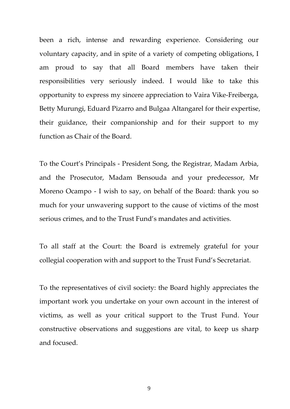been a rich, intense and rewarding experience. Considering our voluntary capacity, and in spite of a variety of competing obligations, I am proud to say that all Board members have taken their responsibilities very seriously indeed. I would like to take this opportunity to express my sincere appreciation to Vaira Vike-Freiberga, Betty Murungi, Eduard Pizarro and Bulgaa Altangarel for their expertise, their guidance, their companionship and for their support to my function as Chair of the Board.

To the Court's Principals - President Song, the Registrar, Madam Arbia, and the Prosecutor, Madam Bensouda and your predecessor, Mr Moreno Ocampo - I wish to say, on behalf of the Board: thank you so much for your unwavering support to the cause of victims of the most serious crimes, and to the Trust Fund's mandates and activities.

To all staff at the Court: the Board is extremely grateful for your collegial cooperation with and support to the Trust Fund's Secretariat.

To the representatives of civil society: the Board highly appreciates the important work you undertake on your own account in the interest of victims, as well as your critical support to the Trust Fund. Your constructive observations and suggestions are vital, to keep us sharp and focused.